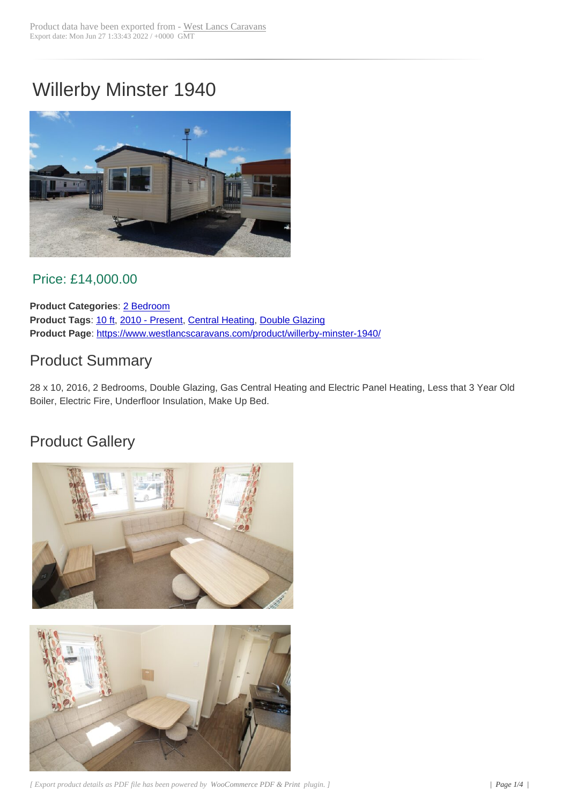## Willerby Minster 1940



## Price: £14,000.00

**Product Categories**: 2 Bedroom **Product Tags**: 10 ft, 2010 - Present, Central Heating, Double Glazing **Product Page**: https://www.westlancscaravans.com/product/willerby-minster-1940/

## Product [Sum](https://www.westlancscaravans.com/product-tag/10-ft/)[m](https://www.westlancscaravans.com/product-tag/2010-present/)[ary](https://www.westlancscaravans.com/product-category/caravans/2-bedroom/)

28 x 10, 2016, [2 Bedrooms, Double Glazing, Gas Central Heating and Electric Pane](https://www.westlancscaravans.com/product/willerby-minster-1940/)l Heating, Less that 3 Year Old Boiler, Electric Fire, Underfloor Insulation, Make Up Bed.

## Product Gallery





*[ Export product details as PDF file has been powered by WooCommerce PDF & Print plugin. ] | Page 1/4 |*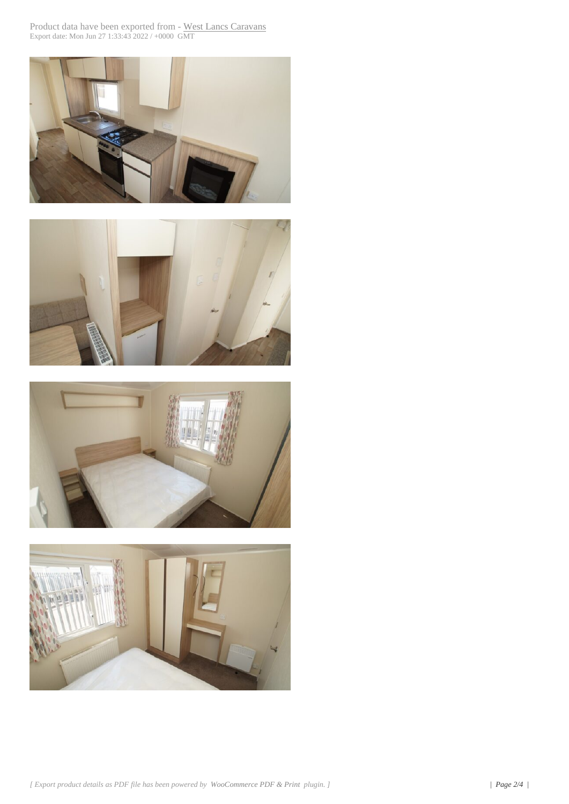





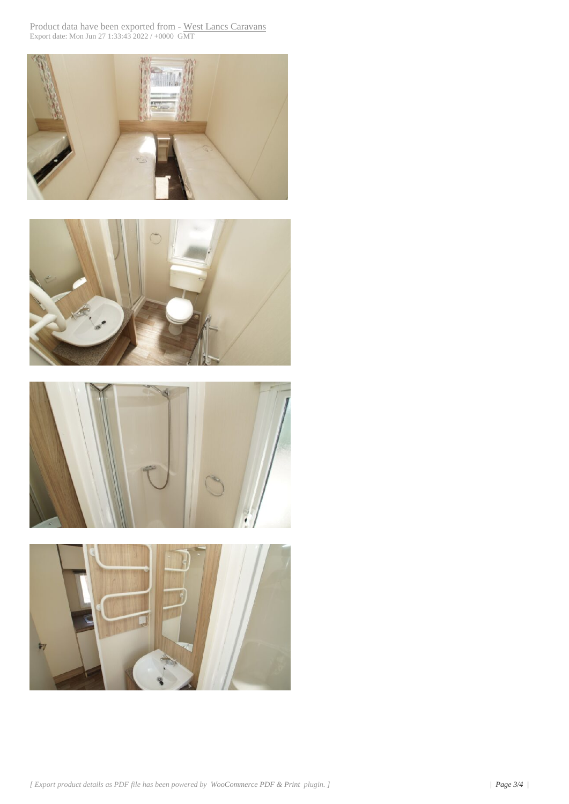